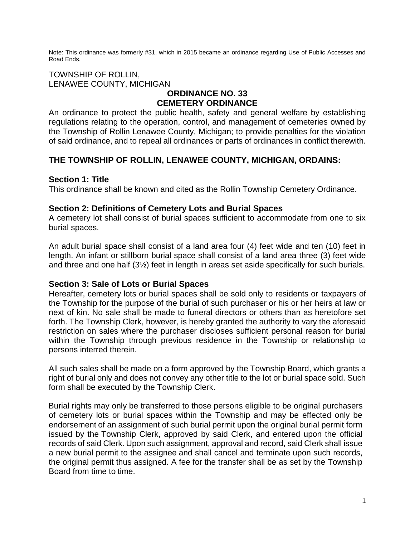Note: This ordinance was formerly #31, which in 2015 became an ordinance regarding Use of Public Accesses and Road Ends.

#### TOWNSHIP OF ROLLIN, LENAWEE COUNTY, MICHIGAN

# **ORDINANCE NO. 33 CEMETERY ORDINANCE**

An ordinance to protect the public health, safety and general welfare by establishing regulations relating to the operation, control, and management of cemeteries owned by the Township of Rollin Lenawee County, Michigan; to provide penalties for the violation of said ordinance, and to repeal all ordinances or parts of ordinances in conflict therewith.

# **THE TOWNSHIP OF ROLLIN, LENAWEE COUNTY, MICHIGAN, ORDAINS:**

### **Section 1: Title**

This ordinance shall be known and cited as the Rollin Township Cemetery Ordinance.

#### **Section 2: Definitions of Cemetery Lots and Burial Spaces**

A cemetery lot shall consist of burial spaces sufficient to accommodate from one to six burial spaces.

An adult burial space shall consist of a land area four (4) feet wide and ten (10) feet in length. An infant or stillborn burial space shall consist of a land area three (3) feet wide and three and one half (3½) feet in length in areas set aside specifically for such burials.

### **Section 3: Sale of Lots or Burial Spaces**

Hereafter, cemetery lots or burial spaces shall be sold only to residents or taxpayers of the Township for the purpose of the burial of such purchaser or his or her heirs at law or next of kin. No sale shall be made to funeral directors or others than as heretofore set forth. The Township Clerk, however, is hereby granted the authority to vary the aforesaid restriction on sales where the purchaser discloses sufficient personal reason for burial within the Township through previous residence in the Township or relationship to persons interred therein.

All such sales shall be made on a form approved by the Township Board, which grants a right of burial only and does not convey any other title to the lot or burial space sold. Such form shall be executed by the Township Clerk.

Burial rights may only be transferred to those persons eligible to be original purchasers of cemetery lots or burial spaces within the Township and may be effected only be endorsement of an assignment of such burial permit upon the original burial permit form issued by the Township Clerk, approved by said Clerk, and entered upon the official records of said Clerk. Upon such assignment, approval and record, said Clerk shall issue a new burial permit to the assignee and shall cancel and terminate upon such records, the original permit thus assigned. A fee for the transfer shall be as set by the Township Board from time to time.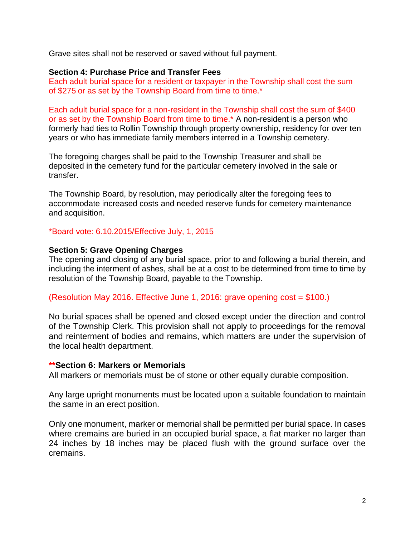Grave sites shall not be reserved or saved without full payment.

#### **Section 4: Purchase Price and Transfer Fees**

Each adult burial space for a resident or taxpayer in the Township shall cost the sum of \$275 or as set by the Township Board from time to time.\*

Each adult burial space for a non-resident in the Township shall cost the sum of \$400 or as set by the Township Board from time to time.\* A non-resident is a person who formerly had ties to Rollin Township through property ownership, residency for over ten years or who has immediate family members interred in a Township cemetery.

The foregoing charges shall be paid to the Township Treasurer and shall be deposited in the cemetery fund for the particular cemetery involved in the sale or transfer.

The Township Board, by resolution, may periodically alter the foregoing fees to accommodate increased costs and needed reserve funds for cemetery maintenance and acquisition.

#### \*Board vote: 6.10.2015/Effective July, 1, 2015

#### **Section 5: Grave Opening Charges**

The opening and closing of any burial space, prior to and following a burial therein, and including the interment of ashes, shall be at a cost to be determined from time to time by resolution of the Township Board, payable to the Township.

(Resolution May 2016. Effective June 1, 2016: grave opening cost = \$100.)

No burial spaces shall be opened and closed except under the direction and control of the Township Clerk. This provision shall not apply to proceedings for the removal and reinterment of bodies and remains, which matters are under the supervision of the local health department.

#### **\*\*Section 6: Markers or Memorials**

All markers or memorials must be of stone or other equally durable composition.

Any large upright monuments must be located upon a suitable foundation to maintain the same in an erect position.

Only one monument, marker or memorial shall be permitted per burial space. In cases where cremains are buried in an occupied burial space, a flat marker no larger than 24 inches by 18 inches may be placed flush with the ground surface over the cremains.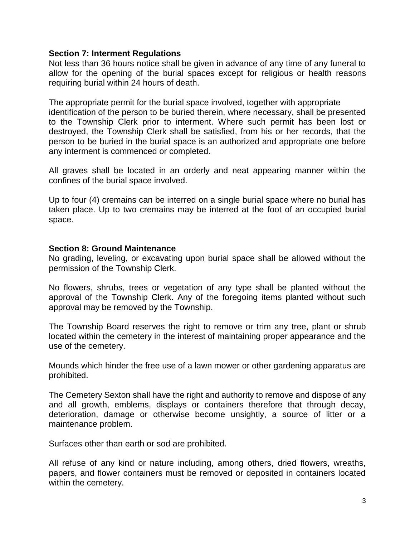### **Section 7: Interment Regulations**

Not less than 36 hours notice shall be given in advance of any time of any funeral to allow for the opening of the burial spaces except for religious or health reasons requiring burial within 24 hours of death.

The appropriate permit for the burial space involved, together with appropriate identification of the person to be buried therein, where necessary, shall be presented to the Township Clerk prior to interment. Where such permit has been lost or destroyed, the Township Clerk shall be satisfied, from his or her records, that the person to be buried in the burial space is an authorized and appropriate one before any interment is commenced or completed.

All graves shall be located in an orderly and neat appearing manner within the confines of the burial space involved.

Up to four (4) cremains can be interred on a single burial space where no burial has taken place. Up to two cremains may be interred at the foot of an occupied burial space.

# **Section 8: Ground Maintenance**

No grading, leveling, or excavating upon burial space shall be allowed without the permission of the Township Clerk.

No flowers, shrubs, trees or vegetation of any type shall be planted without the approval of the Township Clerk. Any of the foregoing items planted without such approval may be removed by the Township.

The Township Board reserves the right to remove or trim any tree, plant or shrub located within the cemetery in the interest of maintaining proper appearance and the use of the cemetery.

Mounds which hinder the free use of a lawn mower or other gardening apparatus are prohibited.

The Cemetery Sexton shall have the right and authority to remove and dispose of any and all growth, emblems, displays or containers therefore that through decay, deterioration, damage or otherwise become unsightly, a source of litter or a maintenance problem.

Surfaces other than earth or sod are prohibited.

All refuse of any kind or nature including, among others, dried flowers, wreaths, papers, and flower containers must be removed or deposited in containers located within the cemetery.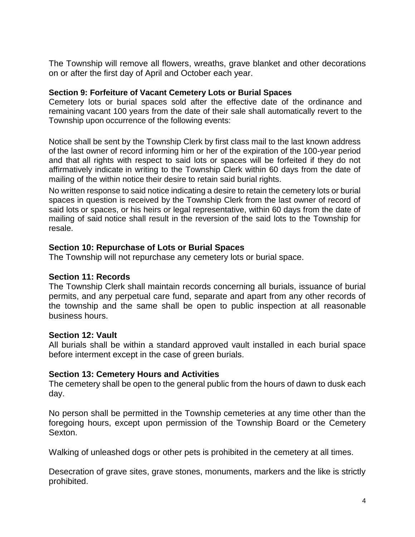The Township will remove all flowers, wreaths, grave blanket and other decorations on or after the first day of April and October each year.

### **Section 9: Forfeiture of Vacant Cemetery Lots or Burial Spaces**

Cemetery lots or burial spaces sold after the effective date of the ordinance and remaining vacant 100 years from the date of their sale shall automatically revert to the Township upon occurrence of the following events:

Notice shall be sent by the Township Clerk by first class mail to the last known address of the last owner of record informing him or her of the expiration of the 100-year period and that all rights with respect to said lots or spaces will be forfeited if they do not affirmatively indicate in writing to the Township Clerk within 60 days from the date of mailing of the within notice their desire to retain said burial rights.

No written response to said notice indicating a desire to retain the cemetery lots or burial spaces in question is received by the Township Clerk from the last owner of record of said lots or spaces, or his heirs or legal representative, within 60 days from the date of mailing of said notice shall result in the reversion of the said lots to the Township for resale.

# **Section 10: Repurchase of Lots or Burial Spaces**

The Township will not repurchase any cemetery lots or burial space.

### **Section 11: Records**

The Township Clerk shall maintain records concerning all burials, issuance of burial permits, and any perpetual care fund, separate and apart from any other records of the township and the same shall be open to public inspection at all reasonable business hours.

### **Section 12: Vault**

All burials shall be within a standard approved vault installed in each burial space before interment except in the case of green burials.

# **Section 13: Cemetery Hours and Activities**

The cemetery shall be open to the general public from the hours of dawn to dusk each day.

No person shall be permitted in the Township cemeteries at any time other than the foregoing hours, except upon permission of the Township Board or the Cemetery Sexton.

Walking of unleashed dogs or other pets is prohibited in the cemetery at all times.

Desecration of grave sites, grave stones, monuments, markers and the like is strictly prohibited.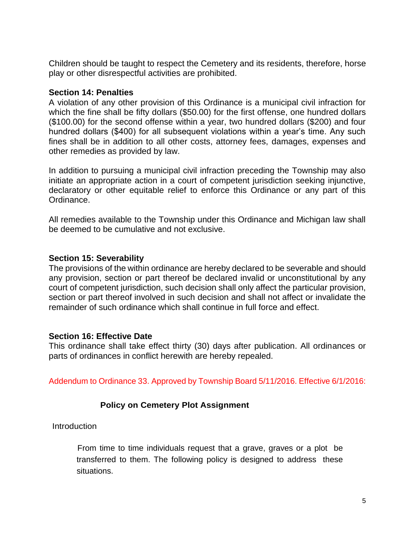Children should be taught to respect the Cemetery and its residents, therefore, horse play or other disrespectful activities are prohibited.

### **Section 14: Penalties**

A violation of any other provision of this Ordinance is a municipal civil infraction for which the fine shall be fifty dollars (\$50.00) for the first offense, one hundred dollars (\$100.00) for the second offense within a year, two hundred dollars (\$200) and four hundred dollars (\$400) for all subsequent violations within a year's time. Any such fines shall be in addition to all other costs, attorney fees, damages, expenses and other remedies as provided by law.

In addition to pursuing a municipal civil infraction preceding the Township may also initiate an appropriate action in a court of competent jurisdiction seeking injunctive, declaratory or other equitable relief to enforce this Ordinance or any part of this Ordinance.

All remedies available to the Township under this Ordinance and Michigan law shall be deemed to be cumulative and not exclusive.

# **Section 15: Severability**

The provisions of the within ordinance are hereby declared to be severable and should any provision, section or part thereof be declared invalid or unconstitutional by any court of competent jurisdiction, such decision shall only affect the particular provision, section or part thereof involved in such decision and shall not affect or invalidate the remainder of such ordinance which shall continue in full force and effect.

### **Section 16: Effective Date**

This ordinance shall take effect thirty (30) days after publication. All ordinances or parts of ordinances in conflict herewith are hereby repealed.

Addendum to Ordinance 33. Approved by Township Board 5/11/2016. Effective 6/1/2016:

# **Policy on Cemetery Plot Assignment**

**Introduction** 

From time to time individuals request that a grave, graves or a plot be transferred to them. The following policy is designed to address these situations.